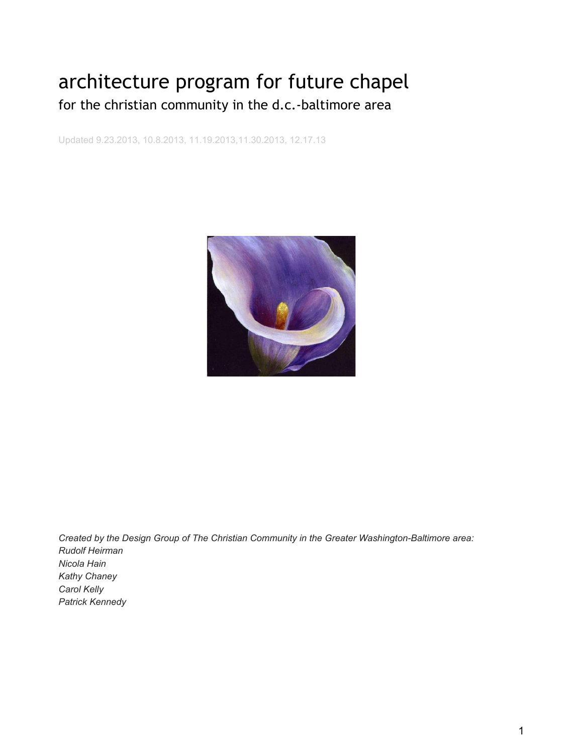# architecture program for future chapel for the christian community in the d.c.-baltimore area

Updated 9.23.2013, 10.8.2013, 11.19.2013,11.30.2013, 12.17.13



*Created by the Design Group of The Christian Community in the Greater Washington-Baltimore area: Rudolf Heirman Nicola Hain Kathy Chaney Carol Kelly Patrick Kennedy*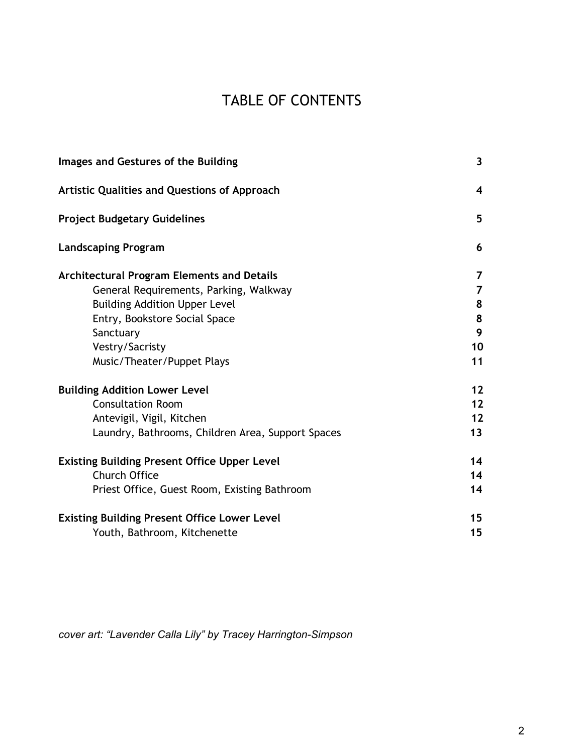# TABLE OF CONTENTS

| Images and Gestures of the Building                 | $\overline{\mathbf{3}}$ |
|-----------------------------------------------------|-------------------------|
| <b>Artistic Qualities and Questions of Approach</b> | 4                       |
| <b>Project Budgetary Guidelines</b>                 | 5                       |
| <b>Landscaping Program</b>                          | 6                       |
| <b>Architectural Program Elements and Details</b>   | 7                       |
| General Requirements, Parking, Walkway              | $\overline{7}$          |
| <b>Building Addition Upper Level</b>                | 8                       |
| Entry, Bookstore Social Space                       | 8                       |
| Sanctuary                                           | 9                       |
| Vestry/Sacristy                                     | 10                      |
| Music/Theater/Puppet Plays                          | 11                      |
| <b>Building Addition Lower Level</b>                | 12                      |
| <b>Consultation Room</b>                            | 12                      |
| Antevigil, Vigil, Kitchen                           | 12                      |
| Laundry, Bathrooms, Children Area, Support Spaces   | 13                      |
| <b>Existing Building Present Office Upper Level</b> | 14                      |
| <b>Church Office</b>                                | 14                      |
| Priest Office, Guest Room, Existing Bathroom        | 14                      |
| <b>Existing Building Present Office Lower Level</b> | 15                      |
| Youth, Bathroom, Kitchenette                        | 15                      |

*cover art: "Lavender Calla Lily" by Tracey Harrington-Simpson*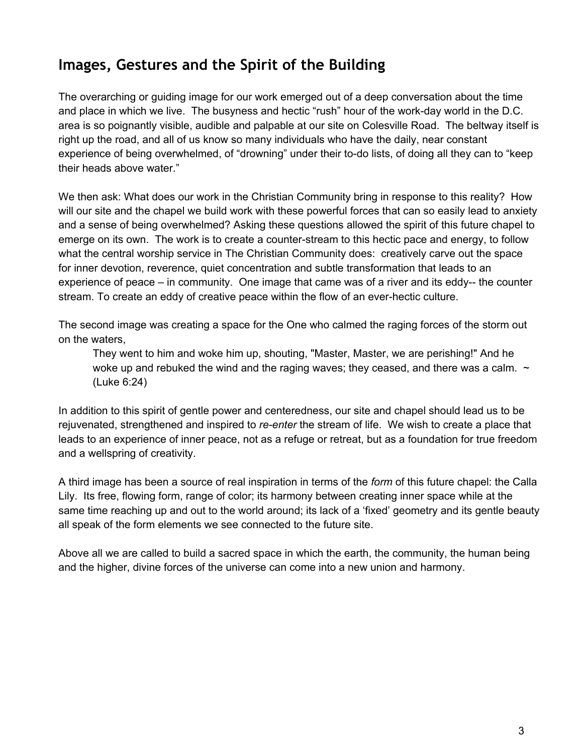# **Images, Gestures and the Spirit of the Building**

The overarching or guiding image for our work emerged out of a deep conversation about the time and place in which we live. The busyness and hectic "rush" hour of the work-day world in the D.C. area is so poignantly visible, audible and palpable at our site on Colesville Road. The beltway itself is right up the road, and all of us know so many individuals who have the daily, near constant experience of being overwhelmed, of "drowning" under their to-do lists, of doing all they can to "keep their heads above water."

We then ask: What does our work in the Christian Community bring in response to this reality? How will our site and the chapel we build work with these powerful forces that can so easily lead to anxiety and a sense of being overwhelmed? Asking these questions allowed the spirit of this future chapel to emerge on its own. The work is to create a counter-stream to this hectic pace and energy, to follow what the central worship service in The Christian Community does: creatively carve out the space for inner devotion, reverence, quiet concentration and subtle transformation that leads to an experience of peace  $-$  in community. One image that came was of a river and its eddy-- the counter stream. To create an eddy of creative peace within the flow of an ever-hectic culture.

The second image was creating a space for the One who calmed the raging forces of the storm out on the waters,

They went to him and woke him up, shouting, "Master, Master, we are perishing!" And he woke up and rebuked the wind and the raging waves; they ceased, and there was a calm.  $\sim$ (Luke 6:24)

In addition to this spirit of gentle power and centeredness, our site and chapel should lead us to be rejuvenated, strengthened and inspired to *re-enter* the stream of life. We wish to create a place that leads to an experience of inner peace, not as a refuge or retreat, but as a foundation for true freedom and a wellspring of creativity.

A third image has been a source of real inspiration in terms of the *form* of this future chapel: the Calla Lily. Its free, flowing form, range of color; its harmony between creating inner space while at the same time reaching up and out to the world around; its lack of a 'fixed' geometry and its gentle beauty all speak of the form elements we see connected to the future site.

Above all we are called to build a sacred space in which the earth, the community, the human being and the higher, divine forces of the universe can come into a new union and harmony.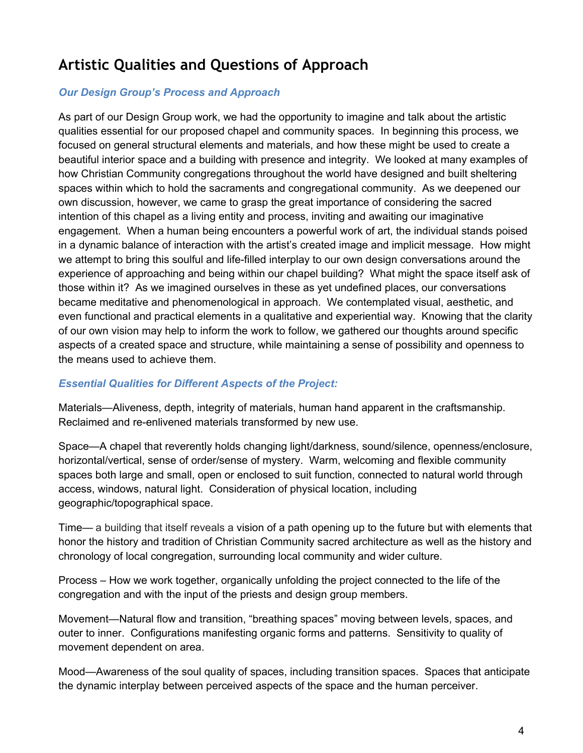# **Artistic Qualities and Questions of Approach**

#### *Our Design Group's Process and Approach*

As part of our Design Group work, we had the opportunity to imagine and talk about the artistic qualities essential for our proposed chapel and community spaces. In beginning this process, we focused on general structural elements and materials, and how these might be used to create a beautiful interior space and a building with presence and integrity. We looked at many examples of how Christian Community congregations throughout the world have designed and built sheltering spaces within which to hold the sacraments and congregational community. As we deepened our own discussion, however, we came to grasp the great importance of considering the sacred intention of this chapel as a living entity and process, inviting and awaiting our imaginative engagement. When a human being encounters a powerful work of art, the individual stands poised in a dynamic balance of interaction with the artist's created image and implicit message. How might we attempt to bring this soulful and life-filled interplay to our own design conversations around the experience of approaching and being within our chapel building? What might the space itself ask of those within it? As we imagined ourselves in these as yet undefined places, our conversations became meditative and phenomenological in approach. We contemplated visual, aesthetic, and even functional and practical elements in a qualitative and experiential way. Knowing that the clarity of our own vision may help to inform the work to follow, we gathered our thoughts around specific aspects of a created space and structure, while maintaining a sense of possibility and openness to the means used to achieve them.

#### *Essential Qualities for Different Aspects of the Project:*

Materials—Aliveness, depth, integrity of materials, human hand apparent in the craftsmanship. Reclaimed and re-enlivened materials transformed by new use.

Space—A chapel that reverently holds changing light/darkness, sound/silence, openness/enclosure, horizontal/vertical, sense of order/sense of mystery. Warm, welcoming and flexible community spaces both large and small, open or enclosed to suit function, connected to natural world through access, windows, natural light. Consideration of physical location, including geographic/topographical space.

Time— a building that itself reveals a vision of a path opening up to the future but with elements that honor the history and tradition of Christian Community sacred architecture as well as the history and chronology of local congregation, surrounding local community and wider culture.

Process – How we work together, organically unfolding the project connected to the life of the congregation and with the input of the priests and design group members.

Movement—Natural flow and transition, "breathing spaces" moving between levels, spaces, and outer to inner. Configurations manifesting organic forms and patterns. Sensitivity to quality of movement dependent on area.

Mood—Awareness of the soul quality of spaces, including transition spaces. Spaces that anticipate the dynamic interplay between perceived aspects of the space and the human perceiver.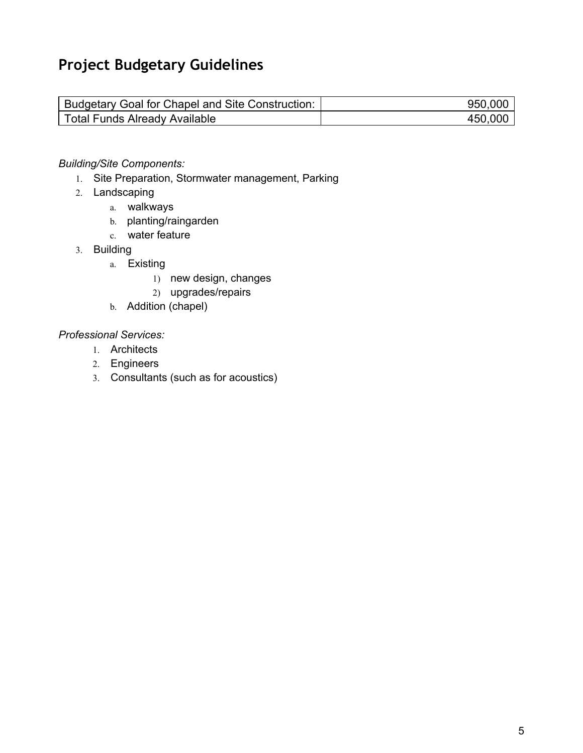# **Project Budgetary Guidelines**

| Budgetary Goal for Chapel and Site Construction: | 950.000 |
|--------------------------------------------------|---------|
| Total Funds Already Available                    | 450,000 |

#### *Building/Site Components:*

- 1. Site Preparation, Stormwater management, Parking
- 2. Landscaping
	- a. walkways
	- b. planting/raingarden
	- c. water feature
- 3. Building
	- a. Existing
		- 1) new design, changes
		- 2) upgrades/repairs
	- b. Addition (chapel)

#### *Professional Services:*

- 1. Architects
- 2. Engineers
- 3. Consultants (such as for acoustics)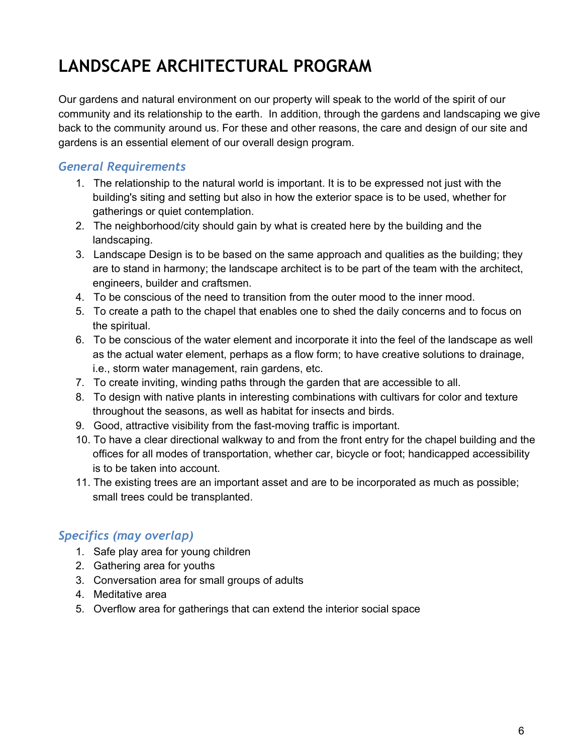# **LANDSCAPE ARCHITECTURAL PROGRAM**

Our gardens and natural environment on our property will speak to the world of the spirit of our community and its relationship to the earth. In addition, through the gardens and landscaping we give back to the community around us. For these and other reasons, the care and design of our site and gardens is an essential element of our overall design program.

### *General Requirements*

- 1. The relationship to the natural world is important. It is to be expressed not just with the building's siting and setting but also in how the exterior space is to be used, whether for gatherings or quiet contemplation.
- 2. The neighborhood/city should gain by what is created here by the building and the landscaping.
- 3. Landscape Design is to be based on the same approach and qualities as the building; they are to stand in harmony; the landscape architect is to be part of the team with the architect, engineers, builder and craftsmen.
- 4. To be conscious of the need to transition from the outer mood to the inner mood.
- 5. To create a path to the chapel that enables one to shed the daily concerns and to focus on the spiritual.
- 6. To be conscious of the water element and incorporate it into the feel of the landscape as well as the actual water element, perhaps as a flow form; to have creative solutions to drainage, i.e., storm water management, rain gardens, etc.
- 7. To create inviting, winding paths through the garden that are accessible to all.
- 8. To design with native plants in interesting combinations with cultivars for color and texture throughout the seasons, as well as habitat for insects and birds.
- 9. Good, attractive visibility from the fast-moving traffic is important.
- 10. To have a clear directional walkway to and from the front entry for the chapel building and the offices for all modes of transportation, whether car, bicycle or foot; handicapped accessibility is to be taken into account.
- 11. The existing trees are an important asset and are to be incorporated as much as possible; small trees could be transplanted.

### *Specifics (may overlap)*

- 1. Safe play area for young children
- 2. Gathering area for youths
- 3. Conversation area for small groups of adults
- 4. Meditative area
- 5. Overflow area for gatherings that can extend the interior social space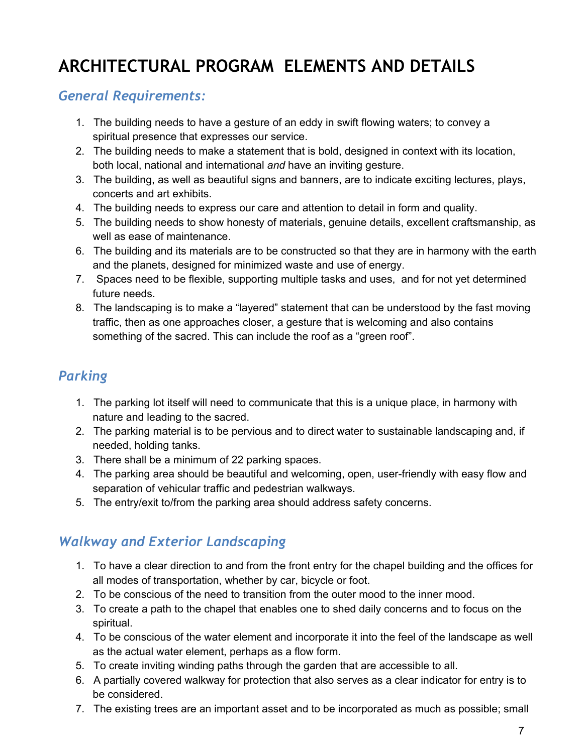# **ARCHITECTURAL PROGRAM ELEMENTS AND DETAILS**

### *General Requirements:*

- 1. The building needs to have a gesture of an eddy in swift flowing waters; to convey a spiritual presence that expresses our service.
- 2. The building needs to make a statement that is bold, designed in context with its location, both local, national and international *and* have an inviting gesture.
- 3. The building, as well as beautiful signs and banners, are to indicate exciting lectures, plays, concerts and art exhibits.
- 4. The building needs to express our care and attention to detail in form and quality.
- 5. The building needs to show honesty of materials, genuine details, excellent craftsmanship, as well as ease of maintenance.
- 6. The building and its materials are to be constructed so that they are in harmony with the earth and the planets, designed for minimized waste and use of energy.
- 7. Spaces need to be flexible, supporting multiple tasks and uses, and for not yet determined future needs.
- 8. The landscaping is to make a "layered" statement that can be understood by the fast moving traffic, then as one approaches closer, a gesture that is welcoming and also contains something of the sacred. This can include the roof as a "green roof".

## *Parking*

- 1. The parking lot itself will need to communicate that this is a unique place, in harmony with nature and leading to the sacred.
- 2. The parking material is to be pervious and to direct water to sustainable landscaping and, if needed, holding tanks.
- 3. There shall be a minimum of 22 parking spaces.
- 4. The parking area should be beautiful and welcoming, open, user-friendly with easy flow and separation of vehicular traffic and pedestrian walkways.
- 5. The entry/exit to/from the parking area should address safety concerns.

# *Walkway and Exterior Landscaping*

- 1. To have a clear direction to and from the front entry for the chapel building and the offices for all modes of transportation, whether by car, bicycle or foot.
- 2. To be conscious of the need to transition from the outer mood to the inner mood.
- 3. To create a path to the chapel that enables one to shed daily concerns and to focus on the spiritual.
- 4. To be conscious of the water element and incorporate it into the feel of the landscape as well as the actual water element, perhaps as a flow form.
- 5. To create inviting winding paths through the garden that are accessible to all.
- 6. A partially covered walkway for protection that also serves as a clear indicator for entry is to be considered.
- 7. The existing trees are an important asset and to be incorporated as much as possible; small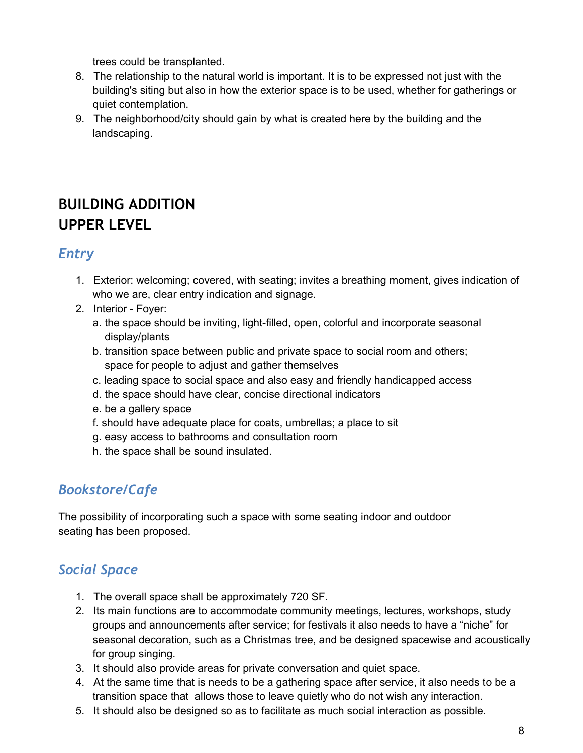trees could be transplanted.

- 8. The relationship to the natural world is important. It is to be expressed not just with the building's siting but also in how the exterior space is to be used, whether for gatherings or quiet contemplation.
- 9. The neighborhood/city should gain by what is created here by the building and the landscaping.

# **BUILDING ADDITION UPPER LEVEL**

## *Entry*

- 1. Exterior: welcoming; covered, with seating; invites a breathing moment, gives indication of who we are, clear entry indication and signage.
- 2. Interior Foyer:
	- a. the space should be inviting, light-filled, open, colorful and incorporate seasonal display/plants
	- b. transition space between public and private space to social room and others; space for people to adjust and gather themselves
	- c. leading space to social space and also easy and friendly handicapped access
	- d. the space should have clear, concise directional indicators
	- e. be a gallery space
	- f. should have adequate place for coats, umbrellas; a place to sit
	- g. easy access to bathrooms and consultation room
	- h. the space shall be sound insulated.

# *Bookstore/Cafe*

The possibility of incorporating such a space with some seating indoor and outdoor seating has been proposed.

# *Social Space*

- 1. The overall space shall be approximately 720 SF.
- 2. Its main functions are to accommodate community meetings, lectures, workshops, study groups and announcements after service; for festivals it also needs to have a "niche" for seasonal decoration, such as a Christmas tree, and be designed spacewise and acoustically for group singing.
- 3. It should also provide areas for private conversation and quiet space.
- 4. At the same time that is needs to be a gathering space after service, it also needs to be a transition space that allows those to leave quietly who do not wish any interaction.
- 5. It should also be designed so as to facilitate as much social interaction as possible.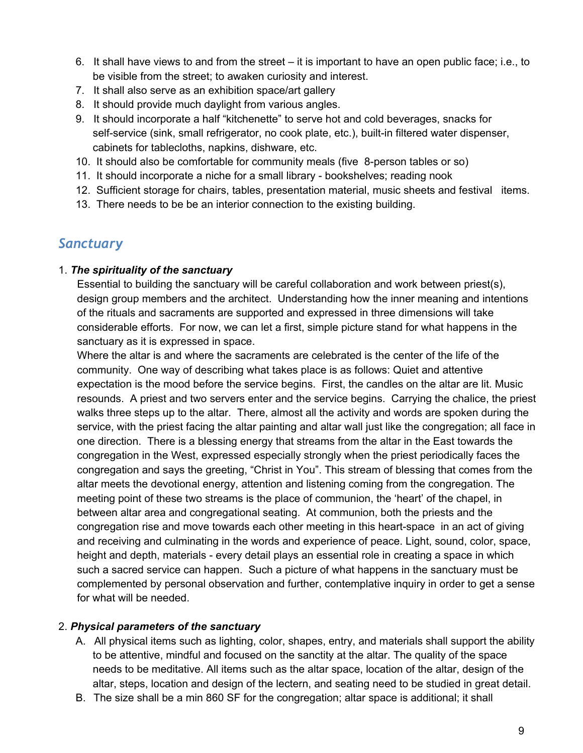- 6. It shall have views to and from the street it is important to have an open public face; i.e., to be visible from the street; to awaken curiosity and interest.
- 7. It shall also serve as an exhibition space/art gallery
- 8. It should provide much daylight from various angles.
- 9. It should incorporate a half "kitchenette" to serve hot and cold beverages, snacks for self-service (sink, small refrigerator, no cook plate, etc.), built-in filtered water dispenser, cabinets for tablecloths, napkins, dishware, etc.
- 10. It should also be comfortable for community meals (five 8-person tables or so)
- 11. It should incorporate a niche for a small library bookshelves; reading nook
- 12. Sufficient storage for chairs, tables, presentation material, music sheets and festival items.
- 13. There needs to be be an interior connection to the existing building.

### *Sanctuary*

#### 1. *The spirituality of the sanctuary*

Essential to building the sanctuary will be careful collaboration and work between priest(s), design group members and the architect. Understanding how the inner meaning and intentions of the rituals and sacraments are supported and expressed in three dimensions will take considerable efforts. For now, we can let a first, simple picture stand for what happens in the sanctuary as it is expressed in space.

Where the altar is and where the sacraments are celebrated is the center of the life of the community. One way of describing what takes place is as follows: Quiet and attentive expectation is the mood before the service begins. First, the candles on the altar are lit. Music resounds. A priest and two servers enter and the service begins. Carrying the chalice, the priest walks three steps up to the altar. There, almost all the activity and words are spoken during the service, with the priest facing the altar painting and altar wall just like the congregation; all face in one direction. There is a blessing energy that streams from the altar in the East towards the congregation in the West, expressed especially strongly when the priest periodically faces the congregation and says the greeting, "Christ in You". This stream of blessing that comes from the altar meets the devotional energy, attention and listening coming from the congregation. The meeting point of these two streams is the place of communion, the 'heart' of the chapel, in between altar area and congregational seating. At communion, both the priests and the congregation rise and move towards each other meeting in this heart-space in an act of giving and receiving and culminating in the words and experience of peace. Light, sound, color, space, height and depth, materials - every detail plays an essential role in creating a space in which such a sacred service can happen. Such a picture of what happens in the sanctuary must be complemented by personal observation and further, contemplative inquiry in order to get a sense for what will be needed.

#### 2. *Physical parameters of the sanctuary*

- A. All physical items such as lighting, color, shapes, entry, and materials shall support the ability to be attentive, mindful and focused on the sanctity at the altar. The quality of the space needs to be meditative. All items such as the altar space, location of the altar, design of the altar, steps, location and design of the lectern, and seating need to be studied in great detail.
- B. The size shall be a min 860 SF for the congregation; altar space is additional; it shall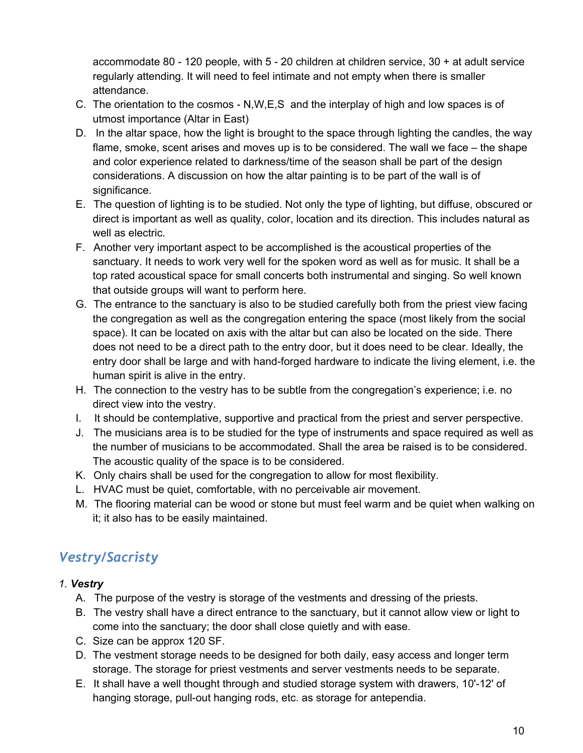accommodate  $80 - 120$  people, with  $5 - 20$  children at children service,  $30 + at$  adult service regularly attending. It will need to feel intimate and not empty when there is smaller attendance.

- C. The orientation to the cosmos  $N, W, E, S$  and the interplay of high and low spaces is of utmost importance (Altar in East)
- D. In the altar space, how the light is brought to the space through lighting the candles, the way flame, smoke, scent arises and moves up is to be considered. The wall we face – the shape and color experience related to darkness/time of the season shall be part of the design considerations. A discussion on how the altar painting is to be part of the wall is of significance.
- E. The question of lighting is to be studied. Not only the type of lighting, but diffuse, obscured or direct is important as well as quality, color, location and its direction. This includes natural as well as electric.
- F. Another very important aspect to be accomplished is the acoustical properties of the sanctuary. It needs to work very well for the spoken word as well as for music. It shall be a top rated acoustical space for small concerts both instrumental and singing. So well known that outside groups will want to perform here.
- G. The entrance to the sanctuary is also to be studied carefully both from the priest view facing the congregation as well as the congregation entering the space (most likely from the social space). It can be located on axis with the altar but can also be located on the side. There does not need to be a direct path to the entry door, but it does need to be clear. Ideally, the entry door shall be large and with hand-forged hardware to indicate the living element, i.e. the human spirit is alive in the entry.
- H. The connection to the vestry has to be subtle from the congregation's experience; i.e. no direct view into the vestry.
- I. It should be contemplative, supportive and practical from the priest and server perspective.
- J. The musicians area is to be studied for the type of instruments and space required as well as the number of musicians to be accommodated. Shall the area be raised is to be considered. The acoustic quality of the space is to be considered.
- K. Only chairs shall be used for the congregation to allow for most flexibility.
- L. HVAC must be quiet, comfortable, with no perceivable air movement.
- M. The flooring material can be wood or stone but must feel warm and be quiet when walking on it; it also has to be easily maintained.

# *Vestry/Sacristy*

#### *1. Vestry*

- A. The purpose of the vestry is storage of the vestments and dressing of the priests.
- B. The vestry shall have a direct entrance to the sanctuary, but it cannot allow view or light to come into the sanctuary; the door shall close quietly and with ease.
- C. Size can be approx 120 SF.
- D. The vestment storage needs to be designed for both daily, easy access and longer term storage. The storage for priest vestments and server vestments needs to be separate.
- E. It shall have a well thought through and studied storage system with drawers, 10'-12' of hanging storage, pull-out hanging rods, etc. as storage for antependia.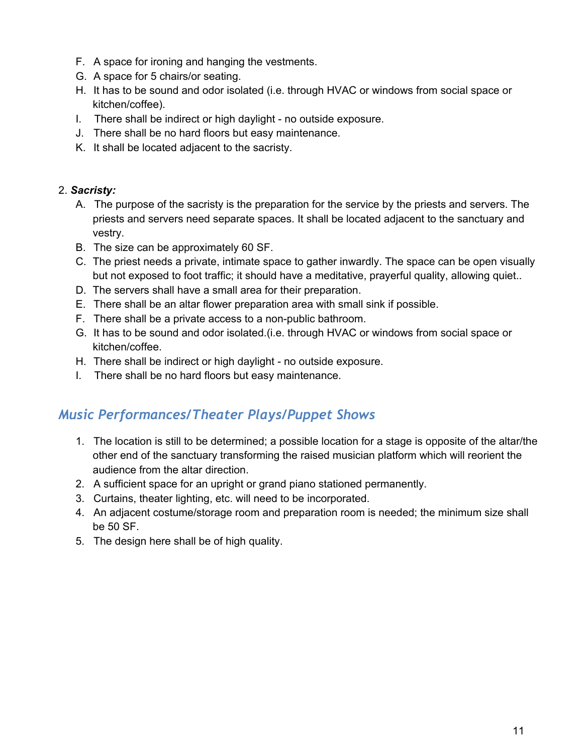- F. A space for ironing and hanging the vestments.
- G. A space for 5 chairs/or seating.
- H. It has to be sound and odor isolated (i.e. through HVAC or windows from social space or kitchen/coffee).
- I. There shall be indirect or high daylight no outside exposure.
- J. There shall be no hard floors but easy maintenance.
- K. It shall be located adjacent to the sacristy.

#### 2. *Sacristy:*

- A. The purpose of the sacristy is the preparation for the service by the priests and servers. The priests and servers need separate spaces. It shall be located adjacent to the sanctuary and vestry.
- B. The size can be approximately 60 SF.
- C. The priest needs a private, intimate space to gather inwardly. The space can be open visually but not exposed to foot traffic; it should have a meditative, prayerful quality, allowing quiet..
- D. The servers shall have a small area for their preparation.
- E. There shall be an altar flower preparation area with small sink if possible.
- F. There shall be a private access to a non-public bathroom.
- G. It has to be sound and odor isolated.(i.e. through HVAC or windows from social space or kitchen/coffee.
- H. There shall be indirect or high daylight no outside exposure.
- I. There shall be no hard floors but easy maintenance.

## *Music Performances/Theater Plays/Puppet Shows*

- 1. The location is still to be determined; a possible location for a stage is opposite of the altar/the other end of the sanctuary transforming the raised musician platform which will reorient the audience from the altar direction.
- 2. A sufficient space for an upright or grand piano stationed permanently.
- 3. Curtains, theater lighting, etc. will need to be incorporated.
- 4. An adjacent costume/storage room and preparation room is needed; the minimum size shall be 50 SF.
- 5. The design here shall be of high quality.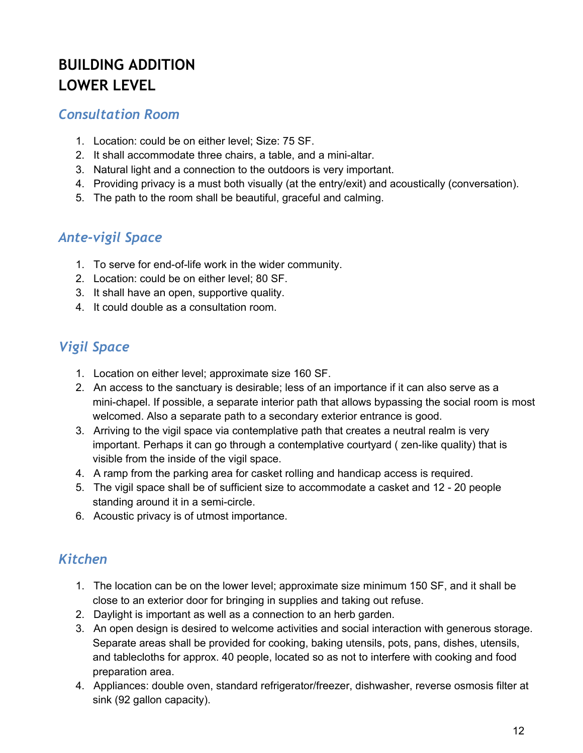# **BUILDING ADDITION LOWER LEVEL**

### *Consultation Room*

- 1. Location: could be on either level; Size: 75 SF.
- 2. It shall accommodate three chairs, a table, and a mini-altar.
- 3. Natural light and a connection to the outdoors is very important.
- 4. Providing privacy is a must both visually (at the entry/exit) and acoustically (conversation).
- 5. The path to the room shall be beautiful, graceful and calming.

## *Ante-vigil Space*

- 1. To serve for end-of-life work in the wider community.
- 2. Location: could be on either level; 80 SF.
- 3. It shall have an open, supportive quality.
- 4. It could double as a consultation room.

# *Vigil Space*

- 1. Location on either level; approximate size 160 SF.
- 2. An access to the sanctuary is desirable; less of an importance if it can also serve as a mini-chapel. If possible, a separate interior path that allows bypassing the social room is most welcomed. Also a separate path to a secondary exterior entrance is good.
- 3. Arriving to the vigil space via contemplative path that creates a neutral realm is very important. Perhaps it can go through a contemplative courtyard ( zen-like quality) that is visible from the inside of the vigil space.
- 4. A ramp from the parking area for casket rolling and handicap access is required.
- 5. The vigil space shall be of sufficient size to accommodate a casket and 12 20 people standing around it in a semi-circle.
- 6. Acoustic privacy is of utmost importance.

## *Kitchen*

- 1. The location can be on the lower level; approximate size minimum 150 SF, and it shall be close to an exterior door for bringing in supplies and taking out refuse.
- 2. Daylight is important as well as a connection to an herb garden.
- 3. An open design is desired to welcome activities and social interaction with generous storage. Separate areas shall be provided for cooking, baking utensils, pots, pans, dishes, utensils, and tablecloths for approx. 40 people, located so as not to interfere with cooking and food preparation area.
- 4. Appliances: double oven, standard refrigerator/freezer, dishwasher, reverse osmosis filter at sink (92 gallon capacity).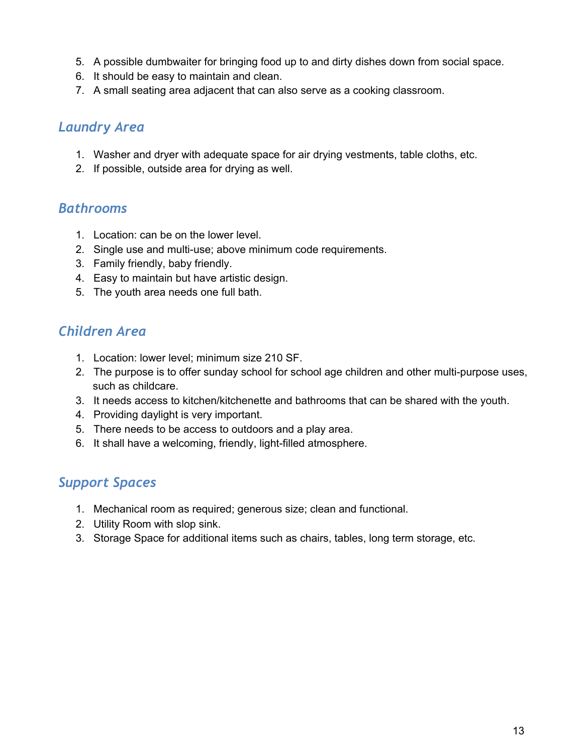- 5. A possible dumbwaiter for bringing food up to and dirty dishes down from social space.
- 6. It should be easy to maintain and clean.
- 7. A small seating area adjacent that can also serve as a cooking classroom.

### *Laundry Area*

- 1. Washer and dryer with adequate space for air drying vestments, table cloths, etc.
- 2. If possible, outside area for drying as well.

#### *Bathrooms*

- 1. Location: can be on the lower level.
- 2. Single use and multi-use; above minimum code requirements.
- 3. Family friendly, baby friendly.
- 4. Easy to maintain but have artistic design.
- 5. The youth area needs one full bath.

## *Children Area*

- 1. Location: lower level; minimum size 210 SF.
- 2. The purpose is to offer sunday school for school age children and other multi-purpose uses, such as childcare.
- 3. It needs access to kitchen/kitchenette and bathrooms that can be shared with the youth.
- 4. Providing daylight is very important.
- 5. There needs to be access to outdoors and a play area.
- 6. It shall have a welcoming, friendly, light-filled atmosphere.

## *Support Spaces*

- 1. Mechanical room as required; generous size; clean and functional.
- 2. Utility Room with slop sink.
- 3. Storage Space for additional items such as chairs, tables, long term storage, etc.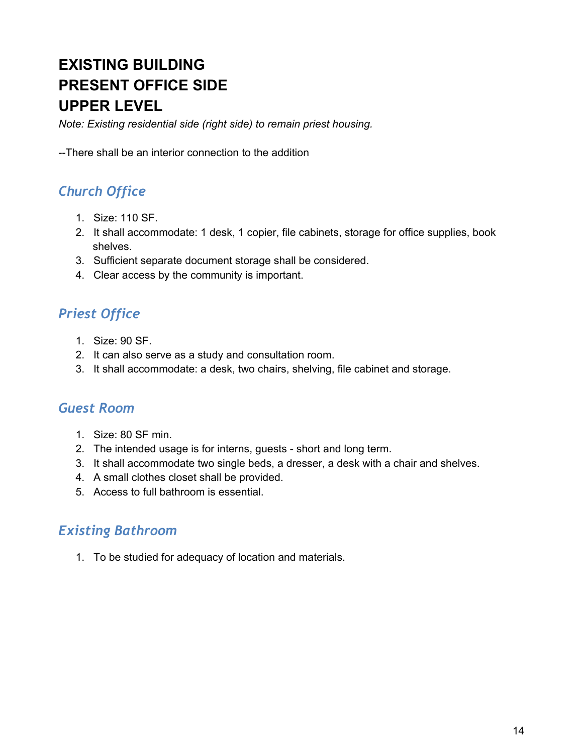# **EXISTING BUILDING PRESENT OFFICE SIDE UPPER LEVEL**

*Note: Existing residential side (right side) to remain priest housing.*

There shall be an interior connection to the addition

# *Church Office*

- 1. Size: 110 SF.
- 2. It shall accommodate: 1 desk, 1 copier, file cabinets, storage for office supplies, book shelves.
- 3. Sufficient separate document storage shall be considered.
- 4. Clear access by the community is important.

# *Priest Office*

- 1. Size: 90 SF.
- 2. It can also serve as a study and consultation room.
- 3. It shall accommodate: a desk, two chairs, shelving, file cabinet and storage.

### *Guest Room*

- 1. Size: 80 SF min.
- 2. The intended usage is for interns, guests short and long term.
- 3. It shall accommodate two single beds, a dresser, a desk with a chair and shelves.
- 4. A small clothes closet shall be provided.
- 5. Access to full bathroom is essential.

### *Existing Bathroom*

1. To be studied for adequacy of location and materials.